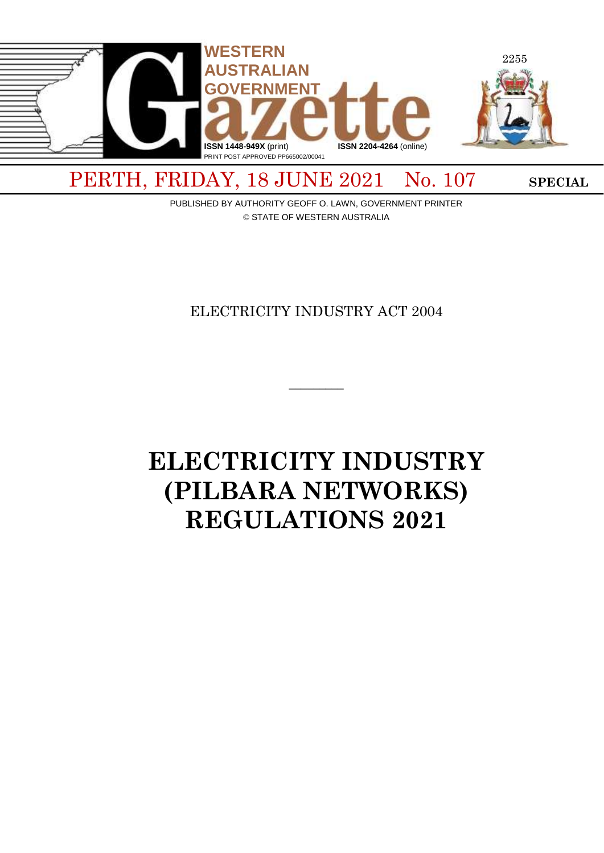

# PERTH, FRIDAY, 18 JUNE 2021 No. 107 SPECIAL

PUBLISHED BY AUTHORITY GEOFF O. LAWN, GOVERNMENT PRINTER © STATE OF WESTERN AUSTRALIA

# ELECTRICITY INDUSTRY ACT 2004

 $\overline{\phantom{a}}$ 

# **ELECTRICITY INDUSTRY (PILBARA NETWORKS) REGULATIONS 2021**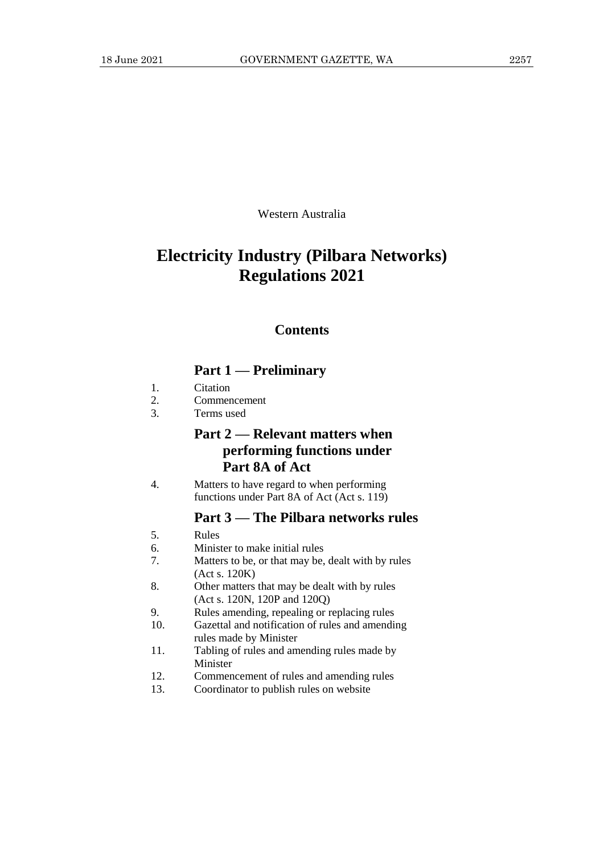Western Australia

# **Electricity Industry (Pilbara Networks) Regulations 2021**

## **Contents**

# **Part 1 — Preliminary**

- 1. Citation
- 2. Commencement
- 3. Terms used

# **Part 2 — Relevant matters when performing functions under Part 8A of Act**

4. Matters to have regard to when performing functions under Part 8A of Act (Act s. 119)

# **Part 3 — The Pilbara networks rules**

- 5. Rules
- 6. Minister to make initial rules
- 7. Matters to be, or that may be, dealt with by rules (Act s. 120K)
- 8. Other matters that may be dealt with by rules (Act s. 120N, 120P and 120Q)
- 9. Rules amending, repealing or replacing rules
- 10. Gazettal and notification of rules and amending rules made by Minister
- 11. Tabling of rules and amending rules made by Minister
- 12. Commencement of rules and amending rules
- 13. Coordinator to publish rules on website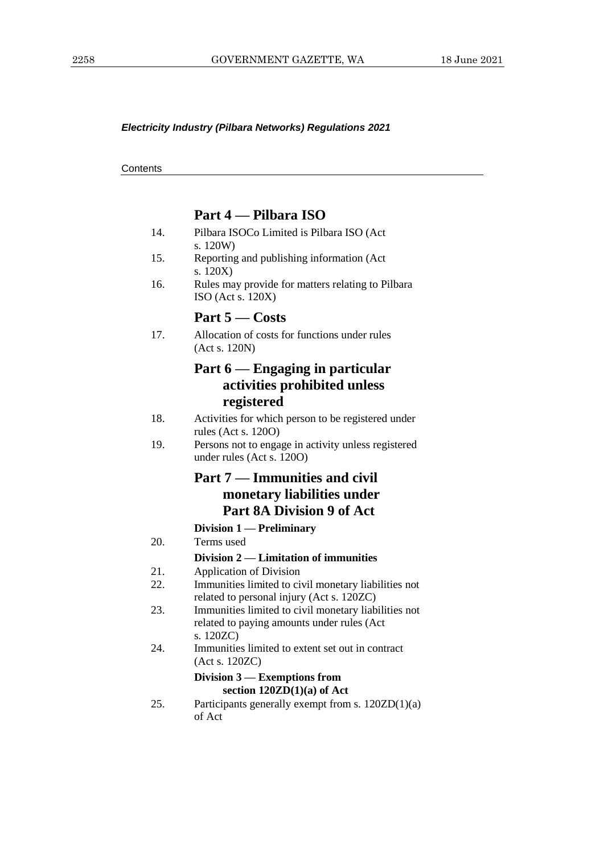#### *Electricity Industry (Pilbara Networks) Regulations 2021*

**Contents** 

#### **Part 4 — Pilbara ISO**

- 14. Pilbara ISOCo Limited is Pilbara ISO (Act s. 120W)
- 15. Reporting and publishing information (Act s. 120X)
- 16. Rules may provide for matters relating to Pilbara ISO (Act s. 120X)

## **Part 5 — Costs**

17. Allocation of costs for functions under rules (Act s. 120N)

# **Part 6 — Engaging in particular activities prohibited unless registered**

- 18. Activities for which person to be registered under rules (Act s. 120O)
- 19. Persons not to engage in activity unless registered under rules (Act s. 120O)

# **Part 7 — Immunities and civil monetary liabilities under Part 8A Division 9 of Act**

## **Division 1 — Preliminary**

20. Terms used

#### **Division 2 — Limitation of immunities**

- 21. Application of Division
- 22. Immunities limited to civil monetary liabilities not related to personal injury (Act s. 120ZC)
- 23. Immunities limited to civil monetary liabilities not related to paying amounts under rules (Act s. 120ZC)
- 24. Immunities limited to extent set out in contract (Act s. 120ZC)

#### **Division 3 — Exemptions from section 120ZD(1)(a) of Act**

25. Participants generally exempt from s. 120ZD(1)(a) of Act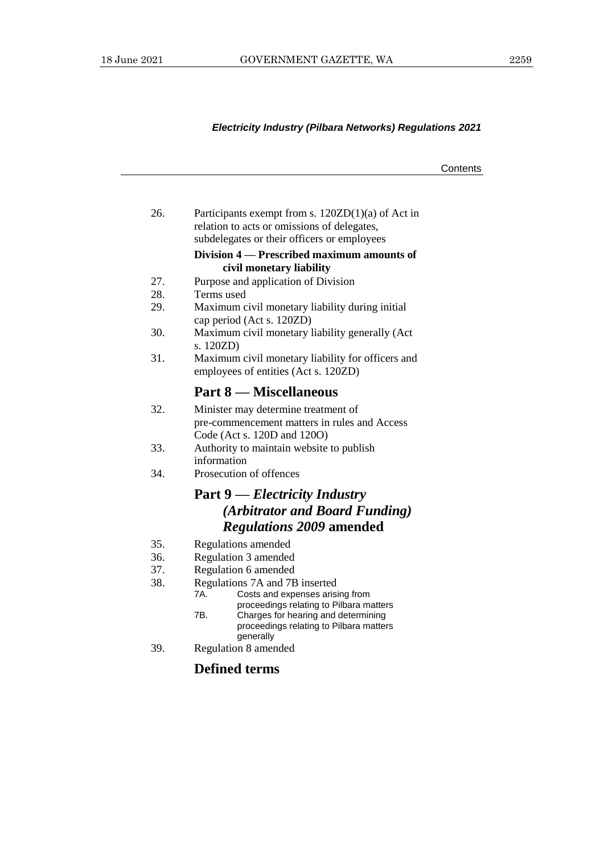## *Electricity Industry (Pilbara Networks) Regulations 2021*

|     |                                                                                                                     | Contents |
|-----|---------------------------------------------------------------------------------------------------------------------|----------|
|     |                                                                                                                     |          |
| 26. | Participants exempt from s. $120ZD(1)(a)$ of Act in                                                                 |          |
|     | relation to acts or omissions of delegates,<br>subdelegates or their officers or employees                          |          |
|     | Division 4 — Prescribed maximum amounts of<br>civil monetary liability                                              |          |
| 27. | Purpose and application of Division                                                                                 |          |
| 28. | Terms used                                                                                                          |          |
| 29. | Maximum civil monetary liability during initial<br>cap period (Act s. 120ZD)                                        |          |
| 30. | Maximum civil monetary liability generally (Act<br>s. 120ZD)                                                        |          |
| 31. | Maximum civil monetary liability for officers and<br>employees of entities (Act s. 120ZD)                           |          |
|     | <b>Part 8 — Miscellaneous</b>                                                                                       |          |
| 32. | Minister may determine treatment of<br>pre-commencement matters in rules and Access<br>Code (Act s. 120D and 120O)  |          |
| 33. | Authority to maintain website to publish<br>information                                                             |          |
| 34. | Prosecution of offences                                                                                             |          |
|     | <b>Part 9</b> — <i>Electricity Industry</i>                                                                         |          |
|     | (Arbitrator and Board Funding)                                                                                      |          |
|     | <b>Regulations 2009 amended</b>                                                                                     |          |
| 35. | Regulations amended                                                                                                 |          |
| 36. | Regulation 3 amended                                                                                                |          |
| 37. | Regulation 6 amended                                                                                                |          |
| 38. | Regulations 7A and 7B inserted<br>Costs and expenses arising from<br>7A.<br>proceedings relating to Pilbara matters |          |
|     | 7B.<br>Charges for hearing and determining<br>proceedings relating to Pilbara matters<br>generally                  |          |
| 39. | Regulation 8 amended                                                                                                |          |
|     | <b>Defined terms</b>                                                                                                |          |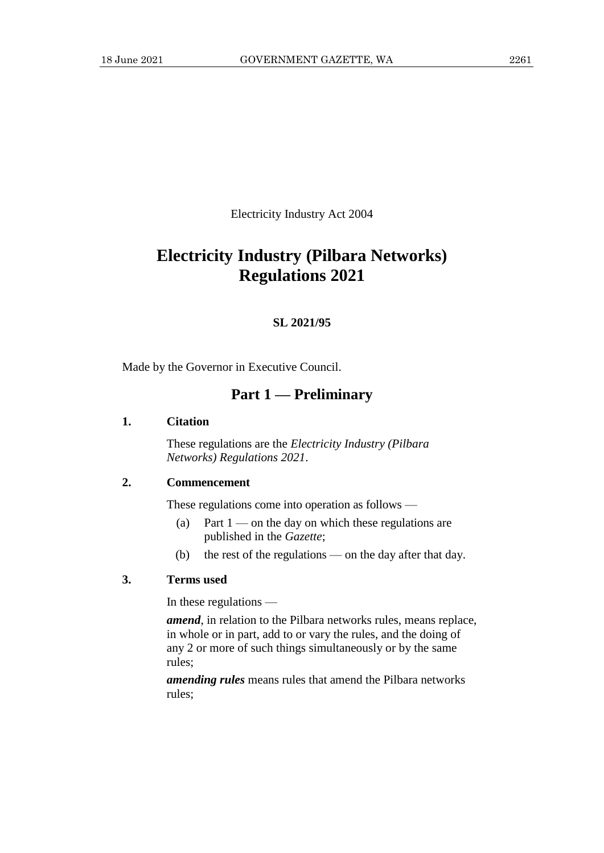Electricity Industry Act 2004

# **Electricity Industry (Pilbara Networks) Regulations 2021**

#### **SL 2021/95**

Made by the Governor in Executive Council.

# **Part 1 — Preliminary**

#### **1. Citation**

These regulations are the *Electricity Industry (Pilbara Networks) Regulations 2021*.

## **2. Commencement**

These regulations come into operation as follows —

- (a) Part  $1$  on the day on which these regulations are published in the *Gazette*;
- (b) the rest of the regulations on the day after that day.

#### **3. Terms used**

In these regulations —

*amend*, in relation to the Pilbara networks rules, means replace, in whole or in part, add to or vary the rules, and the doing of any 2 or more of such things simultaneously or by the same rules;

*amending rules* means rules that amend the Pilbara networks rules;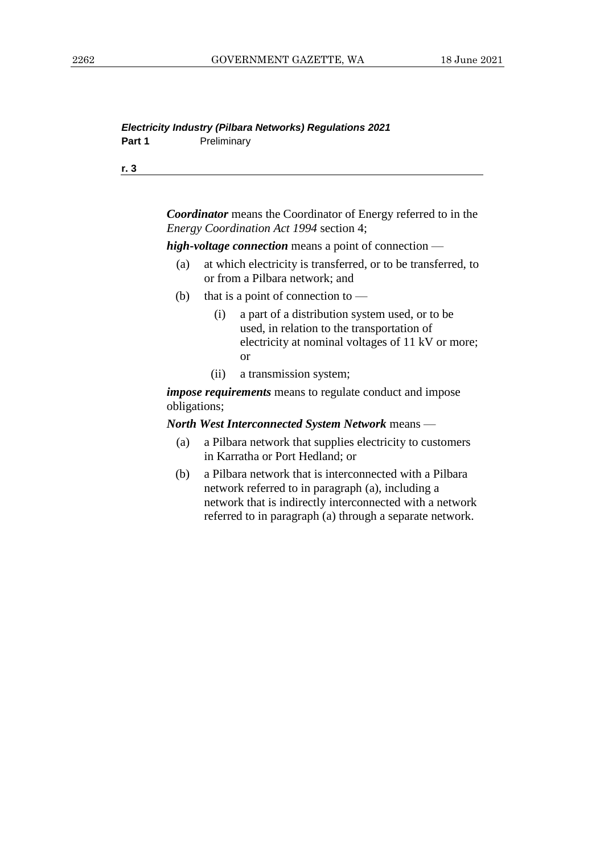#### *Electricity Industry (Pilbara Networks) Regulations 2021* Part 1 **Preliminary**

**r. 3**

*Coordinator* means the Coordinator of Energy referred to in the *Energy Coordination Act 1994* section 4;

*high-voltage connection* means a point of connection —

- (a) at which electricity is transferred, or to be transferred, to or from a Pilbara network; and
- (b) that is a point of connection to  $-$ 
	- (i) a part of a distribution system used, or to be used, in relation to the transportation of electricity at nominal voltages of 11 kV or more; or
	- (ii) a transmission system;

*impose requirements* means to regulate conduct and impose obligations;

#### *North West Interconnected System Network* means —

- (a) a Pilbara network that supplies electricity to customers in Karratha or Port Hedland; or
- (b) a Pilbara network that is interconnected with a Pilbara network referred to in paragraph (a), including a network that is indirectly interconnected with a network referred to in paragraph (a) through a separate network.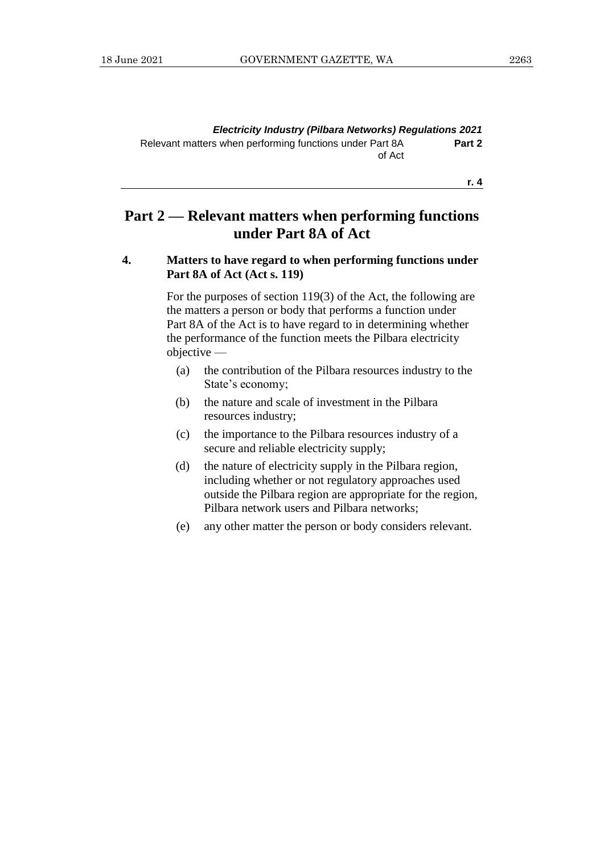**r. 4**

# **Part 2 — Relevant matters when performing functions under Part 8A of Act**

#### **4. Matters to have regard to when performing functions under Part 8A of Act (Act s. 119)**

For the purposes of section 119(3) of the Act, the following are the matters a person or body that performs a function under Part 8A of the Act is to have regard to in determining whether the performance of the function meets the Pilbara electricity objective —

- (a) the contribution of the Pilbara resources industry to the State's economy;
- (b) the nature and scale of investment in the Pilbara resources industry;
- (c) the importance to the Pilbara resources industry of a secure and reliable electricity supply;
- (d) the nature of electricity supply in the Pilbara region, including whether or not regulatory approaches used outside the Pilbara region are appropriate for the region, Pilbara network users and Pilbara networks;
- (e) any other matter the person or body considers relevant.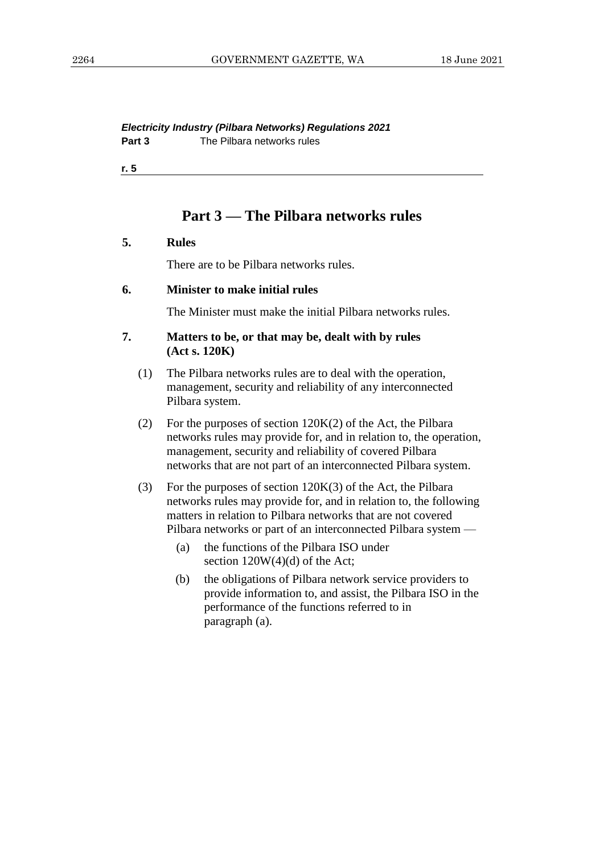*Electricity Industry (Pilbara Networks) Regulations 2021* **Part 3** The Pilbara networks rules

**r. 5**

## **Part 3 — The Pilbara networks rules**

#### **5. Rules**

There are to be Pilbara networks rules.

#### **6. Minister to make initial rules**

The Minister must make the initial Pilbara networks rules.

#### **7. Matters to be, or that may be, dealt with by rules (Act s. 120K)**

- (1) The Pilbara networks rules are to deal with the operation, management, security and reliability of any interconnected Pilbara system.
- (2) For the purposes of section  $120K(2)$  of the Act, the Pilbara networks rules may provide for, and in relation to, the operation, management, security and reliability of covered Pilbara networks that are not part of an interconnected Pilbara system.
- (3) For the purposes of section 120K(3) of the Act, the Pilbara networks rules may provide for, and in relation to, the following matters in relation to Pilbara networks that are not covered Pilbara networks or part of an interconnected Pilbara system —
	- (a) the functions of the Pilbara ISO under section  $120W(4)(d)$  of the Act;
	- (b) the obligations of Pilbara network service providers to provide information to, and assist, the Pilbara ISO in the performance of the functions referred to in paragraph (a).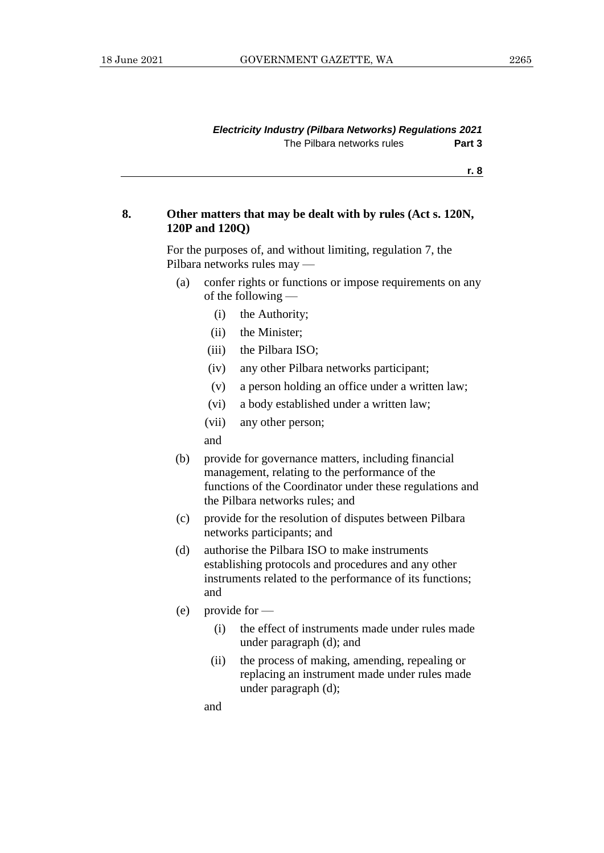#### *Electricity Industry (Pilbara Networks) Regulations 2021* The Pilbara networks rules **Part 3**

**r. 8**

#### **8. Other matters that may be dealt with by rules (Act s. 120N, 120P and 120Q)**

For the purposes of, and without limiting, regulation 7, the Pilbara networks rules may —

- (a) confer rights or functions or impose requirements on any of the following —
	- (i) the Authority;
	- (ii) the Minister;
	- (iii) the Pilbara ISO;
	- (iv) any other Pilbara networks participant;
	- (v) a person holding an office under a written law;
	- (vi) a body established under a written law;
	- (vii) any other person;

and

- (b) provide for governance matters, including financial management, relating to the performance of the functions of the Coordinator under these regulations and the Pilbara networks rules; and
- (c) provide for the resolution of disputes between Pilbara networks participants; and
- (d) authorise the Pilbara ISO to make instruments establishing protocols and procedures and any other instruments related to the performance of its functions; and
- (e) provide for
	- (i) the effect of instruments made under rules made under paragraph (d); and
	- (ii) the process of making, amending, repealing or replacing an instrument made under rules made under paragraph (d);

and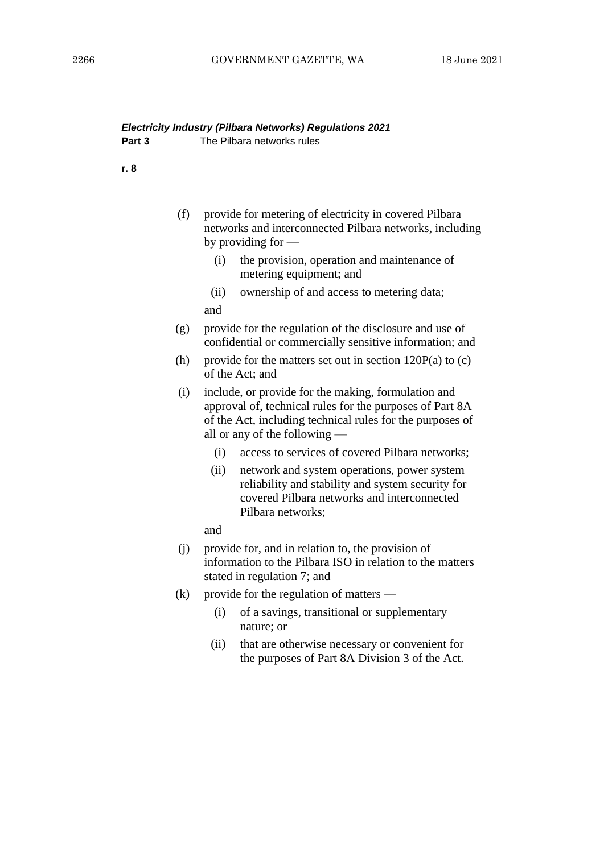| r. 8 |                                                                                                                                                                                                               |
|------|---------------------------------------------------------------------------------------------------------------------------------------------------------------------------------------------------------------|
|      |                                                                                                                                                                                                               |
|      |                                                                                                                                                                                                               |
| (f)  | provide for metering of electricity in covered Pilbara<br>networks and interconnected Pilbara networks, including<br>by providing for $-$                                                                     |
|      | the provision, operation and maintenance of<br>(i)<br>metering equipment; and                                                                                                                                 |
|      | ownership of and access to metering data;<br>(ii)<br>and                                                                                                                                                      |
| (g)  | provide for the regulation of the disclosure and use of<br>confidential or commercially sensitive information; and                                                                                            |
| (h)  | provide for the matters set out in section $120P(a)$ to (c)<br>of the Act; and                                                                                                                                |
| (i)  | include, or provide for the making, formulation and<br>approval of, technical rules for the purposes of Part 8A<br>of the Act, including technical rules for the purposes of<br>all or any of the following — |
|      | access to services of covered Pilbara networks;<br>(i)                                                                                                                                                        |
|      | (ii)<br>network and system operations, power system<br>reliability and stability and system security for<br>covered Pilbara networks and interconnected<br>Pilbara networks;                                  |
|      | and                                                                                                                                                                                                           |
| (i)  | provide for, and in relation to, the provision of<br>information to the Pilbara ISO in relation to the matters<br>stated in regulation 7; and                                                                 |
| (k)  | provide for the regulation of matters —                                                                                                                                                                       |
|      | of a savings, transitional or supplementary<br>(i)<br>nature; or                                                                                                                                              |
|      | that are otherwise necessary or convenient for<br>(ii)<br>the purposes of Part 8A Division 3 of the Act.                                                                                                      |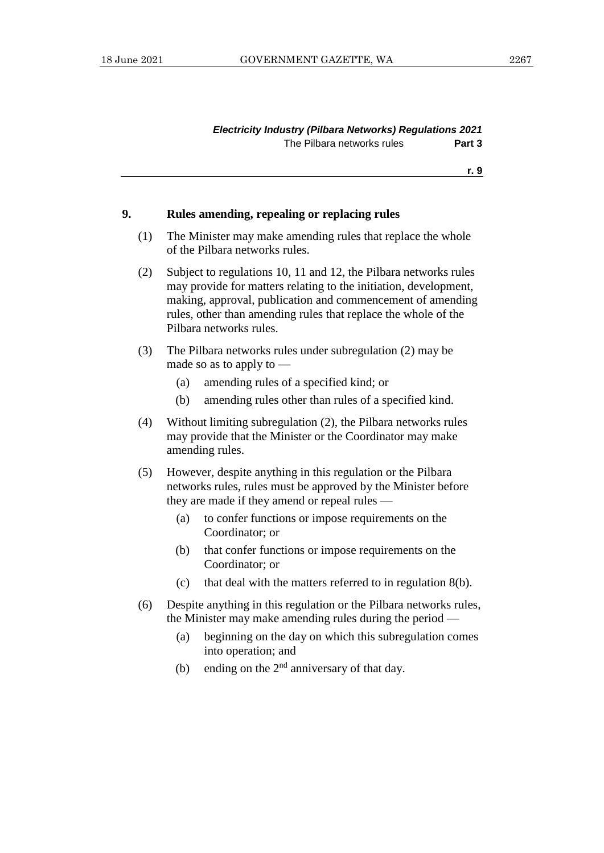#### *Electricity Industry (Pilbara Networks) Regulations 2021* The Pilbara networks rules **Part 3**

**r. 9**

#### **9. Rules amending, repealing or replacing rules**

- (1) The Minister may make amending rules that replace the whole of the Pilbara networks rules.
- (2) Subject to regulations 10, 11 and 12, the Pilbara networks rules may provide for matters relating to the initiation, development, making, approval, publication and commencement of amending rules, other than amending rules that replace the whole of the Pilbara networks rules.
- (3) The Pilbara networks rules under subregulation (2) may be made so as to apply to —
	- (a) amending rules of a specified kind; or
	- (b) amending rules other than rules of a specified kind.
- (4) Without limiting subregulation (2), the Pilbara networks rules may provide that the Minister or the Coordinator may make amending rules.
- (5) However, despite anything in this regulation or the Pilbara networks rules, rules must be approved by the Minister before they are made if they amend or repeal rules —
	- (a) to confer functions or impose requirements on the Coordinator; or
	- (b) that confer functions or impose requirements on the Coordinator; or
	- (c) that deal with the matters referred to in regulation 8(b).
- (6) Despite anything in this regulation or the Pilbara networks rules, the Minister may make amending rules during the period —
	- (a) beginning on the day on which this subregulation comes into operation; and
	- (b) ending on the  $2<sup>nd</sup>$  anniversary of that day.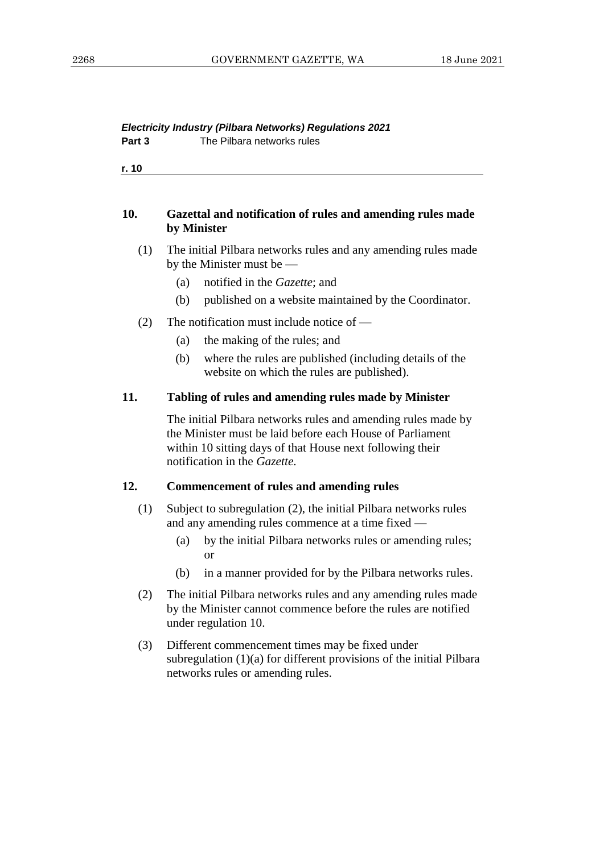#### *Electricity Industry (Pilbara Networks) Regulations 2021* **Part 3** The Pilbara networks rules

**r. 10**

#### **10. Gazettal and notification of rules and amending rules made by Minister**

- (1) The initial Pilbara networks rules and any amending rules made by the Minister must be —
	- (a) notified in the *Gazette*; and
	- (b) published on a website maintained by the Coordinator.
- (2) The notification must include notice of  $-$ 
	- (a) the making of the rules; and
	- (b) where the rules are published (including details of the website on which the rules are published).

#### **11. Tabling of rules and amending rules made by Minister**

The initial Pilbara networks rules and amending rules made by the Minister must be laid before each House of Parliament within 10 sitting days of that House next following their notification in the *Gazette*.

#### **12. Commencement of rules and amending rules**

- (1) Subject to subregulation (2), the initial Pilbara networks rules and any amending rules commence at a time fixed —
	- (a) by the initial Pilbara networks rules or amending rules; or
	- (b) in a manner provided for by the Pilbara networks rules.
- (2) The initial Pilbara networks rules and any amending rules made by the Minister cannot commence before the rules are notified under regulation 10.
- (3) Different commencement times may be fixed under subregulation (1)(a) for different provisions of the initial Pilbara networks rules or amending rules.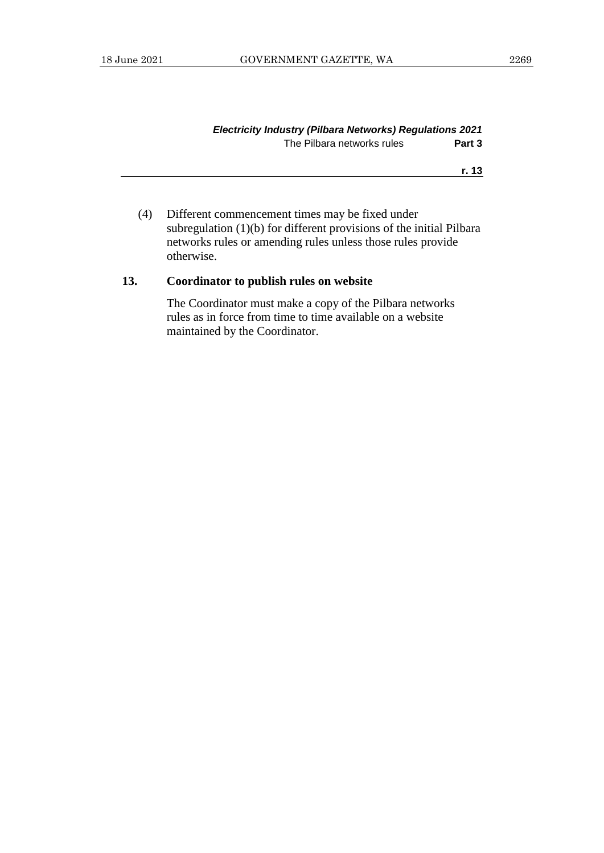| Electricity Industry (Pilbara Networks) Regulations 2021 |        |
|----------------------------------------------------------|--------|
| The Pilbara networks rules                               | Part 3 |

**r. 13**

(4) Different commencement times may be fixed under subregulation (1)(b) for different provisions of the initial Pilbara networks rules or amending rules unless those rules provide otherwise.

## **13. Coordinator to publish rules on website**

The Coordinator must make a copy of the Pilbara networks rules as in force from time to time available on a website maintained by the Coordinator.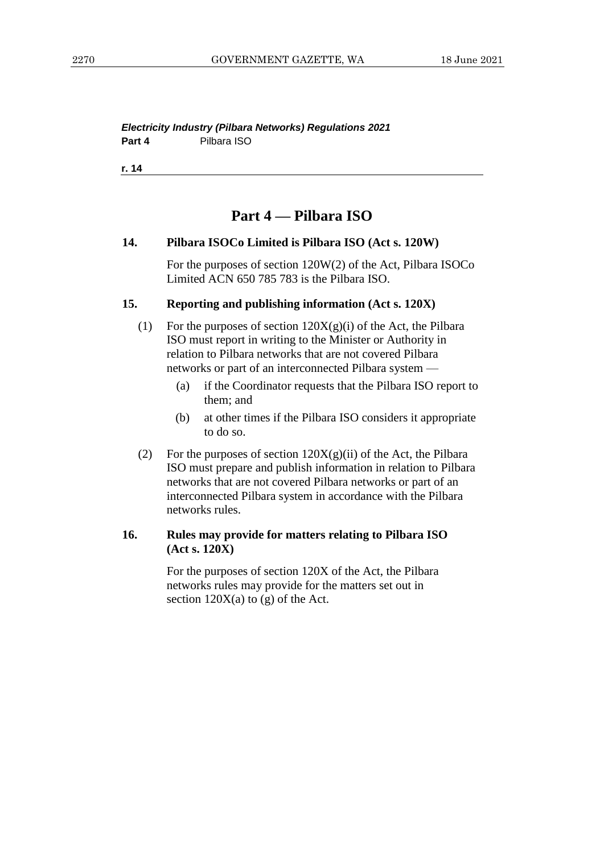#### *Electricity Industry (Pilbara Networks) Regulations 2021* **Part 4** Pilbara ISO

**r. 14**

## **Part 4 — Pilbara ISO**

#### **14. Pilbara ISOCo Limited is Pilbara ISO (Act s. 120W)**

For the purposes of section 120W(2) of the Act, Pilbara ISOCo Limited ACN 650 785 783 is the Pilbara ISO.

#### **15. Reporting and publishing information (Act s. 120X)**

- (1) For the purposes of section  $120X(g)(i)$  of the Act, the Pilbara ISO must report in writing to the Minister or Authority in relation to Pilbara networks that are not covered Pilbara networks or part of an interconnected Pilbara system —
	- (a) if the Coordinator requests that the Pilbara ISO report to them; and
	- (b) at other times if the Pilbara ISO considers it appropriate to do so.
- (2) For the purposes of section  $120X(g)(ii)$  of the Act, the Pilbara ISO must prepare and publish information in relation to Pilbara networks that are not covered Pilbara networks or part of an interconnected Pilbara system in accordance with the Pilbara networks rules.

#### **16. Rules may provide for matters relating to Pilbara ISO (Act s. 120X)**

For the purposes of section 120X of the Act, the Pilbara networks rules may provide for the matters set out in section  $120X(a)$  to (g) of the Act.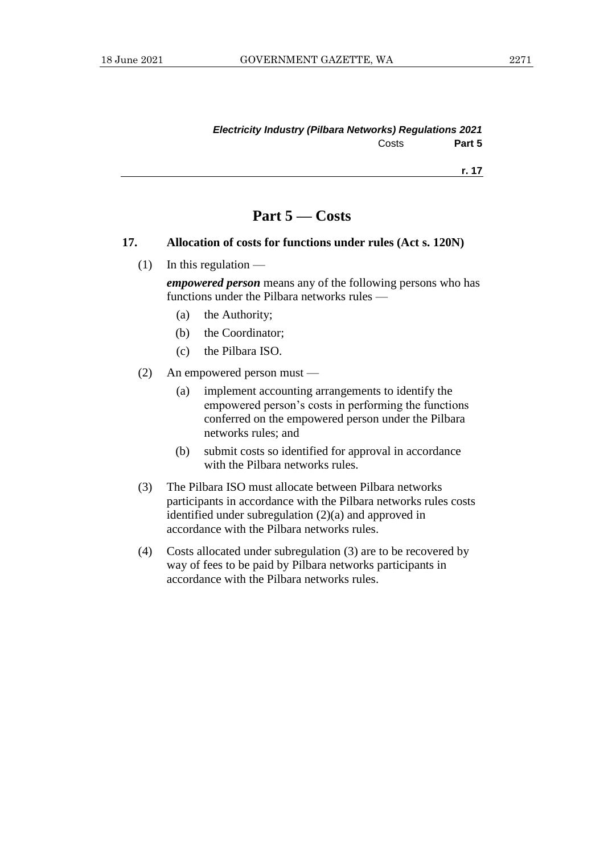**r. 17**

# **Part 5 — Costs**

#### **17. Allocation of costs for functions under rules (Act s. 120N)**

 $(1)$  In this regulation —

*empowered person* means any of the following persons who has functions under the Pilbara networks rules —

- (a) the Authority;
- (b) the Coordinator;
- (c) the Pilbara ISO.
- (2) An empowered person must
	- (a) implement accounting arrangements to identify the empowered person's costs in performing the functions conferred on the empowered person under the Pilbara networks rules; and
	- (b) submit costs so identified for approval in accordance with the Pilbara networks rules.
- (3) The Pilbara ISO must allocate between Pilbara networks participants in accordance with the Pilbara networks rules costs identified under subregulation (2)(a) and approved in accordance with the Pilbara networks rules.
- (4) Costs allocated under subregulation (3) are to be recovered by way of fees to be paid by Pilbara networks participants in accordance with the Pilbara networks rules.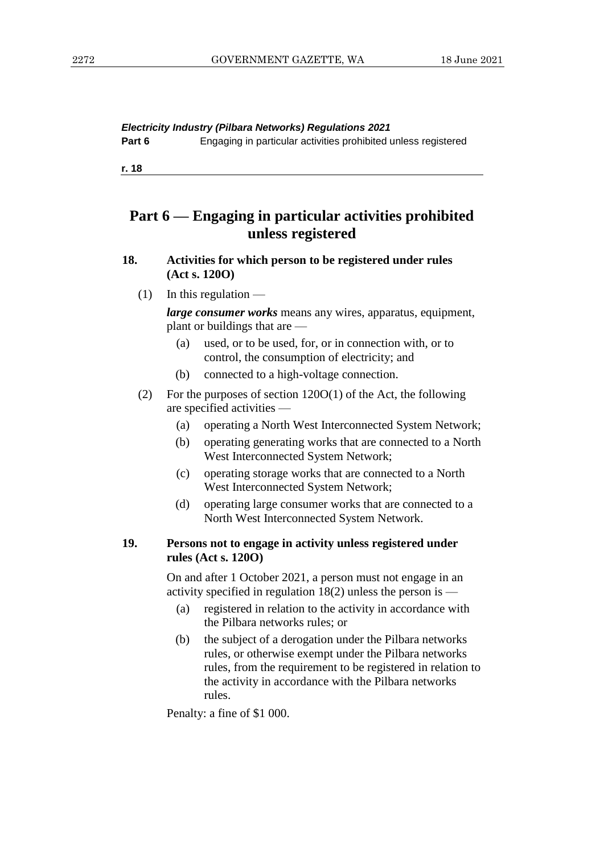*Electricity Industry (Pilbara Networks) Regulations 2021*

**Part 6** Engaging in particular activities prohibited unless registered

**r. 18**

# **Part 6 — Engaging in particular activities prohibited unless registered**

#### **18. Activities for which person to be registered under rules (Act s. 120O)**

 $(1)$  In this regulation —

*large consumer works* means any wires, apparatus, equipment, plant or buildings that are —

- (a) used, or to be used, for, or in connection with, or to control, the consumption of electricity; and
- (b) connected to a high-voltage connection.
- (2) For the purposes of section 120O(1) of the Act, the following are specified activities —
	- (a) operating a North West Interconnected System Network;
	- (b) operating generating works that are connected to a North West Interconnected System Network;
	- (c) operating storage works that are connected to a North West Interconnected System Network;
	- (d) operating large consumer works that are connected to a North West Interconnected System Network.

#### **19. Persons not to engage in activity unless registered under rules (Act s. 120O)**

On and after 1 October 2021, a person must not engage in an activity specified in regulation 18(2) unless the person is —

- (a) registered in relation to the activity in accordance with the Pilbara networks rules; or
- (b) the subject of a derogation under the Pilbara networks rules, or otherwise exempt under the Pilbara networks rules, from the requirement to be registered in relation to the activity in accordance with the Pilbara networks rules.

Penalty: a fine of \$1 000.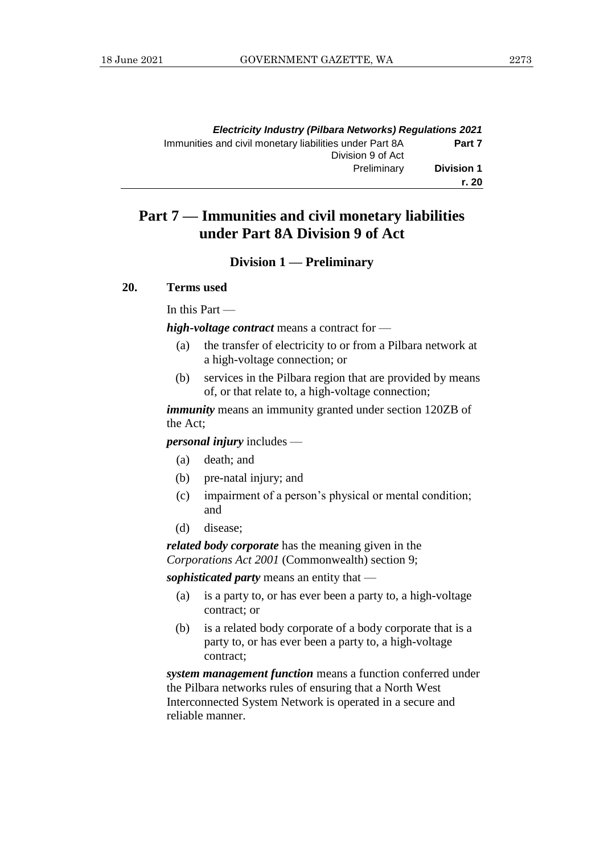| <b>Electricity Industry (Pilbara Networks) Regulations 2021</b> |                                                         |
|-----------------------------------------------------------------|---------------------------------------------------------|
| Part 7<br>Division 9 of Act                                     | Immunities and civil monetary liabilities under Part 8A |
| <b>Division 1</b><br>Preliminary                                |                                                         |
| r. 20                                                           |                                                         |

# **Part 7 — Immunities and civil monetary liabilities under Part 8A Division 9 of Act**

#### **Division 1 — Preliminary**

#### **20. Terms used**

In this Part —

*high-voltage contract* means a contract for —

- (a) the transfer of electricity to or from a Pilbara network at a high-voltage connection; or
- (b) services in the Pilbara region that are provided by means of, or that relate to, a high-voltage connection;

*immunity* means an immunity granted under section 120ZB of the Act;

*personal injury* includes —

- (a) death; and
- (b) pre-natal injury; and
- (c) impairment of a person's physical or mental condition; and
- (d) disease;

*related body corporate* has the meaning given in the *Corporations Act 2001* (Commonwealth) section 9;

*sophisticated party* means an entity that —

- (a) is a party to, or has ever been a party to, a high-voltage contract; or
- (b) is a related body corporate of a body corporate that is a party to, or has ever been a party to, a high-voltage contract;

*system management function* means a function conferred under the Pilbara networks rules of ensuring that a North West Interconnected System Network is operated in a secure and reliable manner.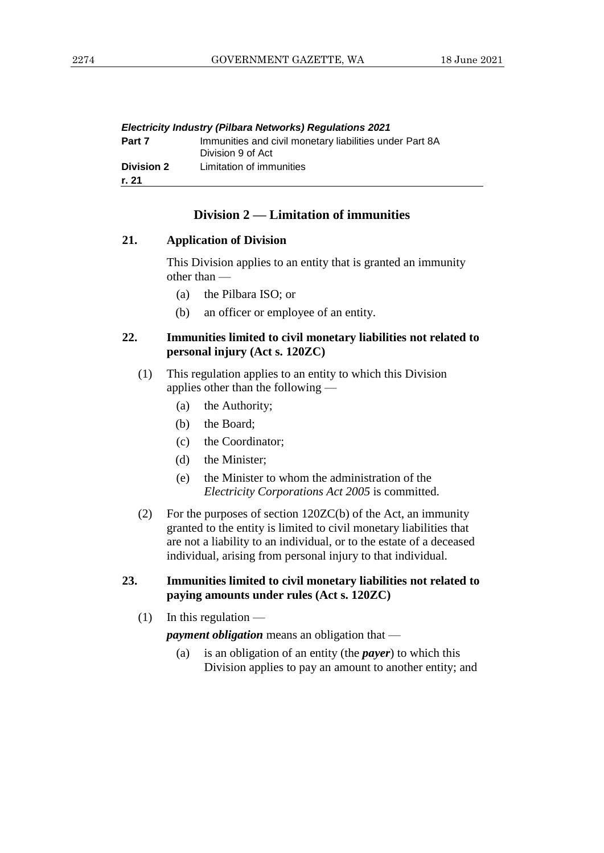|                            | <b>Electricity Industry (Pilbara Networks) Regulations 2021</b>              |
|----------------------------|------------------------------------------------------------------------------|
| Part 7                     | Immunities and civil monetary liabilities under Part 8A<br>Division 9 of Act |
| <b>Division 2</b><br>r. 21 | Limitation of immunities                                                     |
|                            |                                                                              |

#### **Division 2 — Limitation of immunities**

#### **21. Application of Division**

This Division applies to an entity that is granted an immunity other than —

- (a) the Pilbara ISO; or
- (b) an officer or employee of an entity.

#### **22. Immunities limited to civil monetary liabilities not related to personal injury (Act s. 120ZC)**

- (1) This regulation applies to an entity to which this Division applies other than the following —
	- (a) the Authority;
	- (b) the Board;
	- (c) the Coordinator;
	- (d) the Minister;
	- (e) the Minister to whom the administration of the *Electricity Corporations Act 2005* is committed.
- (2) For the purposes of section 120ZC(b) of the Act, an immunity granted to the entity is limited to civil monetary liabilities that are not a liability to an individual, or to the estate of a deceased individual, arising from personal injury to that individual.

#### **23. Immunities limited to civil monetary liabilities not related to paying amounts under rules (Act s. 120ZC)**

 $(1)$  In this regulation —

*payment obligation* means an obligation that —

(a) is an obligation of an entity (the *payer*) to which this Division applies to pay an amount to another entity; and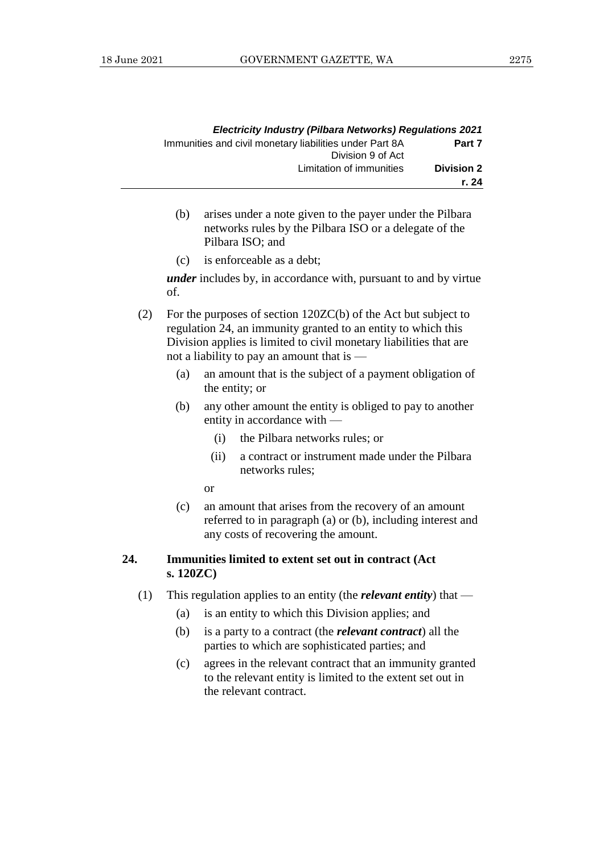|                            | <b>Electricity Industry (Pilbara Networks) Regulations 2021</b>              |
|----------------------------|------------------------------------------------------------------------------|
| Part 7                     | Immunities and civil monetary liabilities under Part 8A<br>Division 9 of Act |
| <b>Division 2</b><br>r. 24 | Limitation of immunities                                                     |

- (b) arises under a note given to the payer under the Pilbara networks rules by the Pilbara ISO or a delegate of the Pilbara ISO; and
- (c) is enforceable as a debt;

*under* includes by, in accordance with, pursuant to and by virtue of.

- (2) For the purposes of section 120ZC(b) of the Act but subject to regulation 24, an immunity granted to an entity to which this Division applies is limited to civil monetary liabilities that are not a liability to pay an amount that is —
	- (a) an amount that is the subject of a payment obligation of the entity; or
	- (b) any other amount the entity is obliged to pay to another entity in accordance with —
		- (i) the Pilbara networks rules; or
		- (ii) a contract or instrument made under the Pilbara networks rules;
		- or
	- (c) an amount that arises from the recovery of an amount referred to in paragraph (a) or (b), including interest and any costs of recovering the amount.

#### **24. Immunities limited to extent set out in contract (Act s. 120ZC)**

- (1) This regulation applies to an entity (the *relevant entity*) that
	- (a) is an entity to which this Division applies; and
	- (b) is a party to a contract (the *relevant contract*) all the parties to which are sophisticated parties; and
	- (c) agrees in the relevant contract that an immunity granted to the relevant entity is limited to the extent set out in the relevant contract.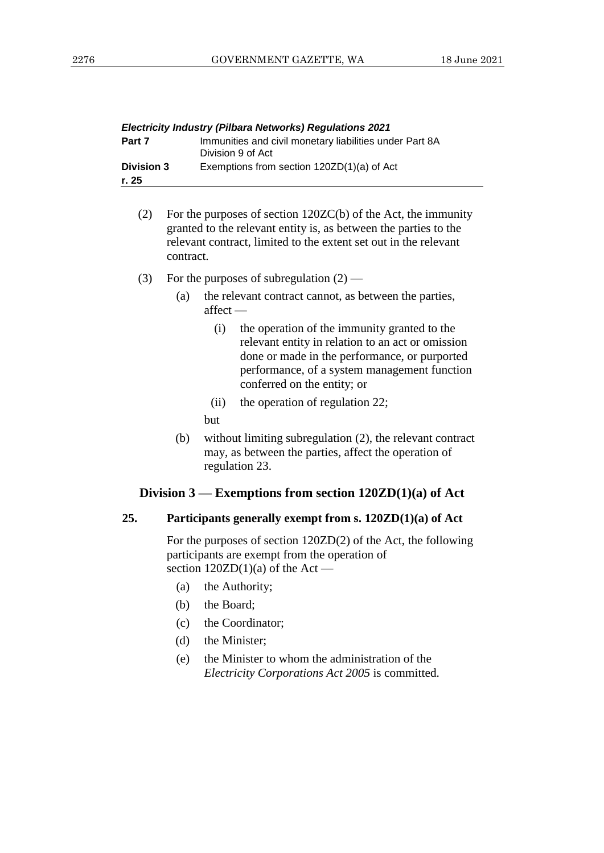|                            | <b>Electricity Industry (Pilbara Networks) Regulations 2021</b>              |
|----------------------------|------------------------------------------------------------------------------|
| Part 7                     | Immunities and civil monetary liabilities under Part 8A<br>Division 9 of Act |
| <b>Division 3</b><br>r. 25 | Exemptions from section 120ZD(1)(a) of Act                                   |

- (2) For the purposes of section 120ZC(b) of the Act, the immunity granted to the relevant entity is, as between the parties to the relevant contract, limited to the extent set out in the relevant contract.
- (3) For the purposes of subregulation  $(2)$ 
	- (a) the relevant contract cannot, as between the parties, affect —
		- (i) the operation of the immunity granted to the relevant entity in relation to an act or omission done or made in the performance, or purported performance, of a system management function conferred on the entity; or
		- (ii) the operation of regulation 22;

but

(b) without limiting subregulation (2), the relevant contract may, as between the parties, affect the operation of regulation 23.

#### **Division 3 — Exemptions from section 120ZD(1)(a) of Act**

#### **25. Participants generally exempt from s. 120ZD(1)(a) of Act**

For the purposes of section 120ZD(2) of the Act, the following participants are exempt from the operation of section  $120ZD(1)(a)$  of the Act —

- (a) the Authority;
- (b) the Board;
- (c) the Coordinator;
- (d) the Minister;
- (e) the Minister to whom the administration of the *Electricity Corporations Act 2005* is committed.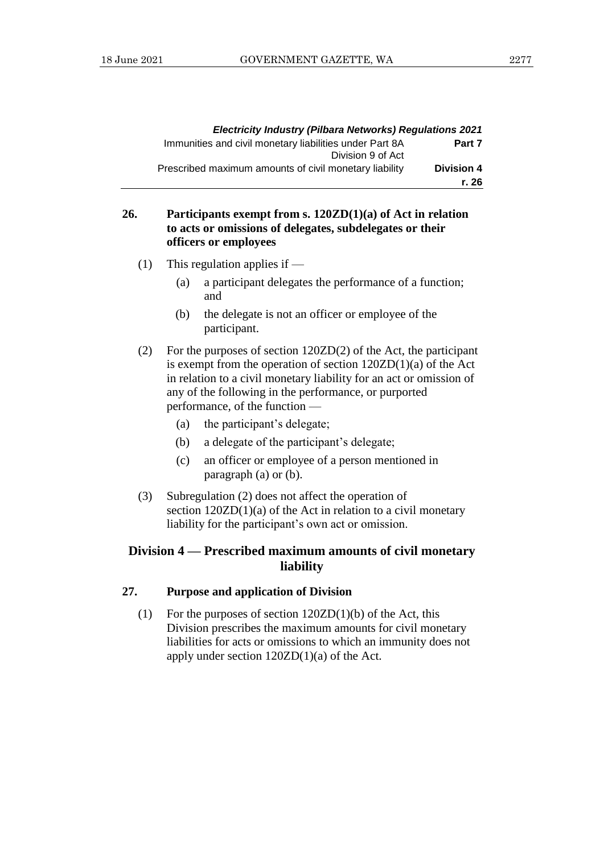|                            | <b>Electricity Industry (Pilbara Networks) Regulations 2021</b>              |
|----------------------------|------------------------------------------------------------------------------|
| Part 7                     | Immunities and civil monetary liabilities under Part 8A<br>Division 9 of Act |
| <b>Division 4</b><br>r. 26 | Prescribed maximum amounts of civil monetary liability                       |

## **26. Participants exempt from s. 120ZD(1)(a) of Act in relation to acts or omissions of delegates, subdelegates or their officers or employees**

- (1) This regulation applies if
	- (a) a participant delegates the performance of a function; and
	- (b) the delegate is not an officer or employee of the participant.
- (2) For the purposes of section 120ZD(2) of the Act, the participant is exempt from the operation of section 120ZD(1)(a) of the Act in relation to a civil monetary liability for an act or omission of any of the following in the performance, or purported performance, of the function —
	- (a) the participant's delegate;
	- (b) a delegate of the participant's delegate;
	- (c) an officer or employee of a person mentioned in paragraph (a) or (b).
- (3) Subregulation (2) does not affect the operation of section  $120ZD(1)(a)$  of the Act in relation to a civil monetary liability for the participant's own act or omission.

## **Division 4 — Prescribed maximum amounts of civil monetary liability**

#### **27. Purpose and application of Division**

(1) For the purposes of section  $120ZD(1)(b)$  of the Act, this Division prescribes the maximum amounts for civil monetary liabilities for acts or omissions to which an immunity does not apply under section  $120ZD(1)(a)$  of the Act.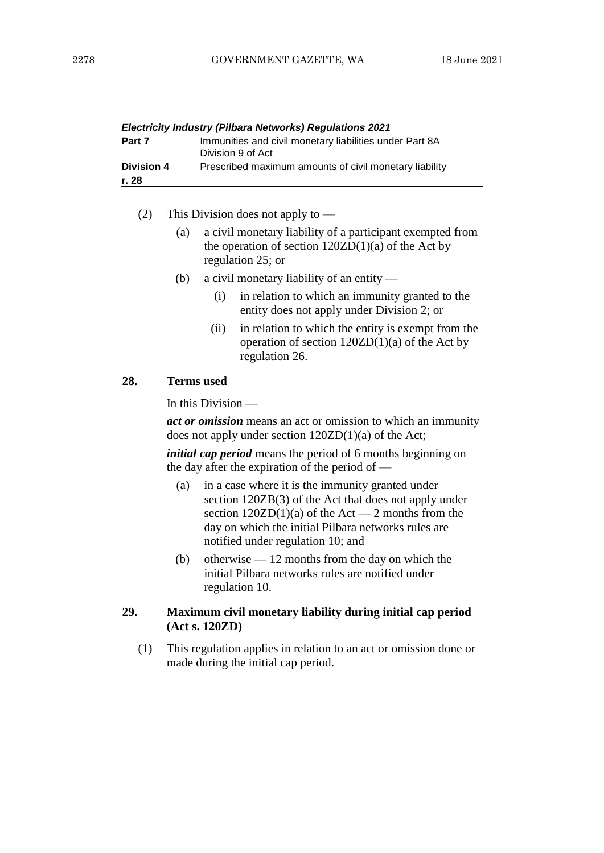|                            | <b>Electricity Industry (Pilbara Networks) Regulations 2021</b>              |
|----------------------------|------------------------------------------------------------------------------|
| Part 7                     | Immunities and civil monetary liabilities under Part 8A<br>Division 9 of Act |
| <b>Division 4</b><br>r. 28 | Prescribed maximum amounts of civil monetary liability                       |
|                            |                                                                              |

(2) This Division does not apply to —

- (a) a civil monetary liability of a participant exempted from the operation of section  $120ZD(1)(a)$  of the Act by regulation 25; or
- (b) a civil monetary liability of an entity
	- (i) in relation to which an immunity granted to the entity does not apply under Division 2; or
	- (ii) in relation to which the entity is exempt from the operation of section 120ZD(1)(a) of the Act by regulation 26.

#### **28. Terms used**

In this Division —

*act or omission* means an act or omission to which an immunity does not apply under section 120ZD(1)(a) of the Act;

*initial cap period* means the period of 6 months beginning on the day after the expiration of the period of —

- (a) in a case where it is the immunity granted under section 120ZB(3) of the Act that does not apply under section  $120ZD(1)(a)$  of the Act — 2 months from the day on which the initial Pilbara networks rules are notified under regulation 10; and
- (b) otherwise  $-12$  months from the day on which the initial Pilbara networks rules are notified under regulation 10.

#### **29. Maximum civil monetary liability during initial cap period (Act s. 120ZD)**

(1) This regulation applies in relation to an act or omission done or made during the initial cap period.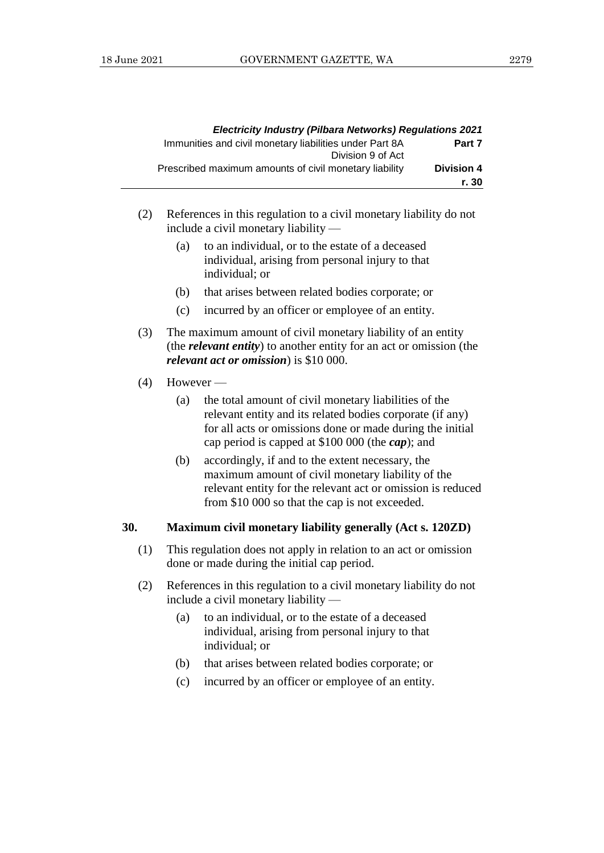|                            | <b>Electricity Industry (Pilbara Networks) Regulations 2021</b>              |
|----------------------------|------------------------------------------------------------------------------|
| Part 7                     | Immunities and civil monetary liabilities under Part 8A<br>Division 9 of Act |
| <b>Division 4</b><br>r. 30 | Prescribed maximum amounts of civil monetary liability                       |

- (2) References in this regulation to a civil monetary liability do not include a civil monetary liability —
	- (a) to an individual, or to the estate of a deceased individual, arising from personal injury to that individual; or
	- (b) that arises between related bodies corporate; or
	- (c) incurred by an officer or employee of an entity.
- (3) The maximum amount of civil monetary liability of an entity (the *relevant entity*) to another entity for an act or omission (the *relevant act or omission*) is \$10 000.

#### $(4)$  However —

- (a) the total amount of civil monetary liabilities of the relevant entity and its related bodies corporate (if any) for all acts or omissions done or made during the initial cap period is capped at \$100 000 (the *cap*); and
- (b) accordingly, if and to the extent necessary, the maximum amount of civil monetary liability of the relevant entity for the relevant act or omission is reduced from \$10 000 so that the cap is not exceeded.

#### **30. Maximum civil monetary liability generally (Act s. 120ZD)**

- (1) This regulation does not apply in relation to an act or omission done or made during the initial cap period.
- (2) References in this regulation to a civil monetary liability do not include a civil monetary liability —
	- (a) to an individual, or to the estate of a deceased individual, arising from personal injury to that individual; or
	- (b) that arises between related bodies corporate; or
	- (c) incurred by an officer or employee of an entity.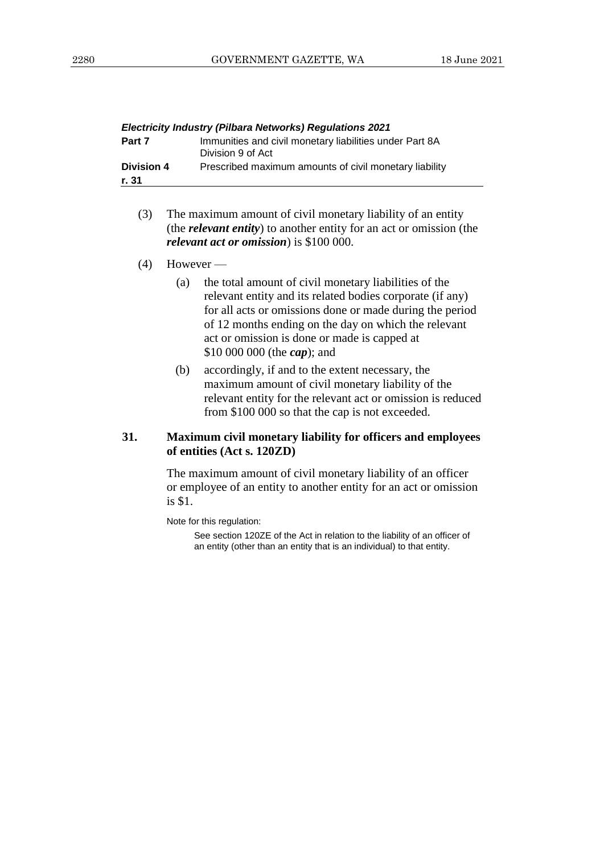|                     | <b>Electricity Industry (Pilbara Networks) Regulations 2021</b>              |
|---------------------|------------------------------------------------------------------------------|
| Part 7              | Immunities and civil monetary liabilities under Part 8A<br>Division 9 of Act |
| Division 4<br>r. 31 | Prescribed maximum amounts of civil monetary liability                       |
|                     |                                                                              |

- (3) The maximum amount of civil monetary liability of an entity (the *relevant entity*) to another entity for an act or omission (the *relevant act or omission*) is \$100 000.
- $(4)$  However
	- (a) the total amount of civil monetary liabilities of the relevant entity and its related bodies corporate (if any) for all acts or omissions done or made during the period of 12 months ending on the day on which the relevant act or omission is done or made is capped at \$10 000 000 (the *cap*); and
	- (b) accordingly, if and to the extent necessary, the maximum amount of civil monetary liability of the relevant entity for the relevant act or omission is reduced from \$100 000 so that the cap is not exceeded.

#### **31. Maximum civil monetary liability for officers and employees of entities (Act s. 120ZD)**

The maximum amount of civil monetary liability of an officer or employee of an entity to another entity for an act or omission is \$1.

Note for this regulation:

See section 120ZE of the Act in relation to the liability of an officer of an entity (other than an entity that is an individual) to that entity.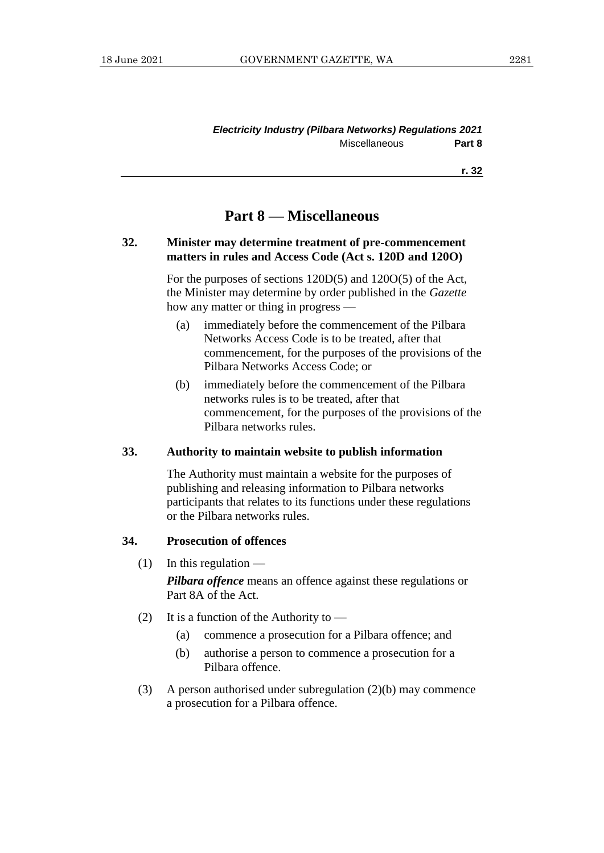#### *Electricity Industry (Pilbara Networks) Regulations 2021* Miscellaneous **Part 8**

**r. 32**

# **Part 8 — Miscellaneous**

#### **32. Minister may determine treatment of pre-commencement matters in rules and Access Code (Act s. 120D and 120O)**

For the purposes of sections 120D(5) and 120O(5) of the Act, the Minister may determine by order published in the *Gazette* how any matter or thing in progress —

- (a) immediately before the commencement of the Pilbara Networks Access Code is to be treated, after that commencement, for the purposes of the provisions of the Pilbara Networks Access Code; or
- (b) immediately before the commencement of the Pilbara networks rules is to be treated, after that commencement, for the purposes of the provisions of the Pilbara networks rules.

#### **33. Authority to maintain website to publish information**

The Authority must maintain a website for the purposes of publishing and releasing information to Pilbara networks participants that relates to its functions under these regulations or the Pilbara networks rules.

#### **34. Prosecution of offences**

 $(1)$  In this regulation —

*Pilbara offence* means an offence against these regulations or Part 8A of the Act.

- (2) It is a function of the Authority to  $-$ 
	- (a) commence a prosecution for a Pilbara offence; and
	- (b) authorise a person to commence a prosecution for a Pilbara offence.
- (3) A person authorised under subregulation (2)(b) may commence a prosecution for a Pilbara offence.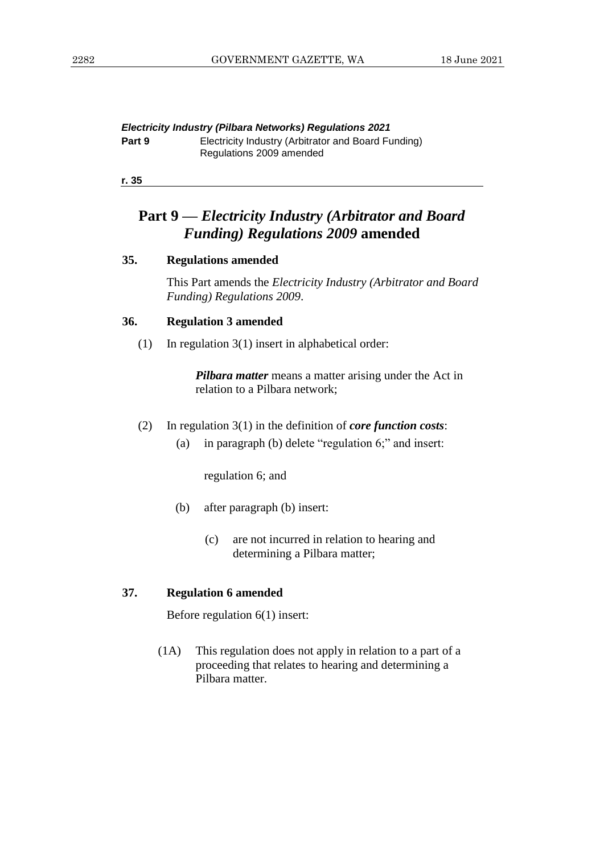*Electricity Industry (Pilbara Networks) Regulations 2021* **Part 9** Electricity Industry (Arbitrator and Board Funding) Regulations 2009 amended

**r. 35**

# **Part 9 —** *Electricity Industry (Arbitrator and Board Funding) Regulations 2009* **amended**

#### **35. Regulations amended**

This Part amends the *Electricity Industry (Arbitrator and Board Funding) Regulations 2009*.

#### **36. Regulation 3 amended**

(1) In regulation 3(1) insert in alphabetical order:

*Pilbara matter* means a matter arising under the Act in relation to a Pilbara network;

- (2) In regulation 3(1) in the definition of *core function costs*:
	- (a) in paragraph (b) delete "regulation 6;" and insert:

regulation 6; and

- (b) after paragraph (b) insert:
	- (c) are not incurred in relation to hearing and determining a Pilbara matter;

#### **37. Regulation 6 amended**

Before regulation 6(1) insert:

(1A) This regulation does not apply in relation to a part of a proceeding that relates to hearing and determining a Pilbara matter.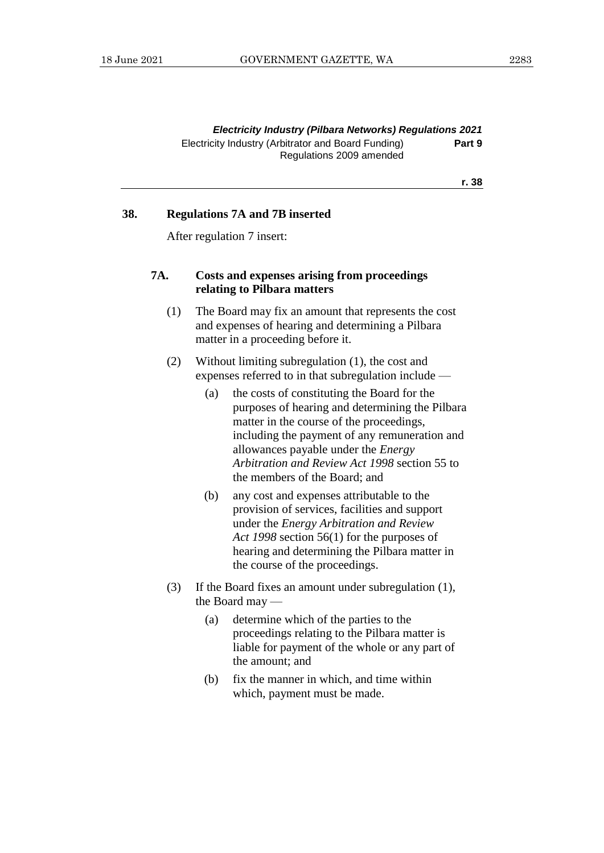#### **r. 38**

#### **38. Regulations 7A and 7B inserted**

After regulation 7 insert:

#### **7A. Costs and expenses arising from proceedings relating to Pilbara matters**

- (1) The Board may fix an amount that represents the cost and expenses of hearing and determining a Pilbara matter in a proceeding before it.
- (2) Without limiting subregulation (1), the cost and expenses referred to in that subregulation include —
	- (a) the costs of constituting the Board for the purposes of hearing and determining the Pilbara matter in the course of the proceedings, including the payment of any remuneration and allowances payable under the *Energy Arbitration and Review Act 1998* section 55 to the members of the Board; and
	- (b) any cost and expenses attributable to the provision of services, facilities and support under the *Energy Arbitration and Review Act 1998* section 56(1) for the purposes of hearing and determining the Pilbara matter in the course of the proceedings.
- (3) If the Board fixes an amount under subregulation (1), the Board may —
	- (a) determine which of the parties to the proceedings relating to the Pilbara matter is liable for payment of the whole or any part of the amount; and
	- (b) fix the manner in which, and time within which, payment must be made.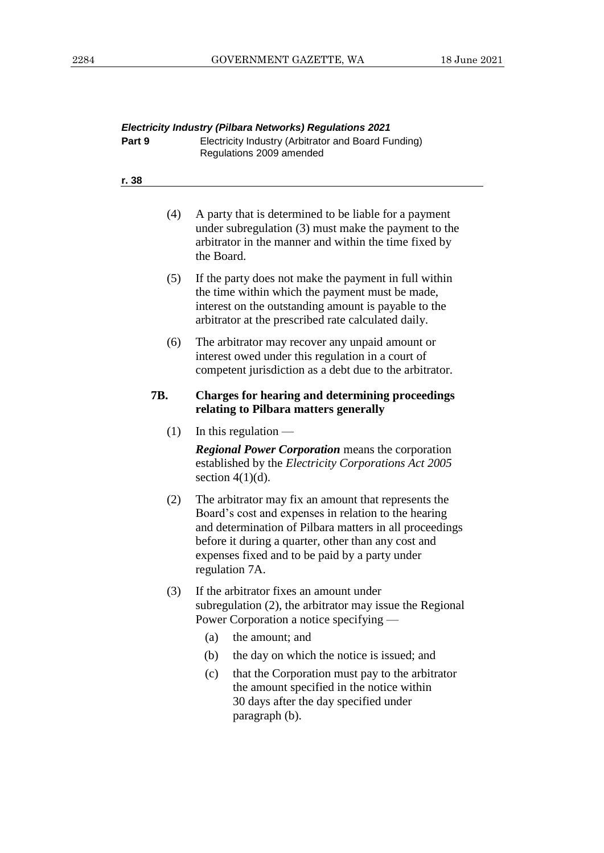| Part 9     | Electricity Industry (Arbitrator and Board Funding)<br>Regulations 2009 amended                                                                                                                                                                                                                    |
|------------|----------------------------------------------------------------------------------------------------------------------------------------------------------------------------------------------------------------------------------------------------------------------------------------------------|
| r. 38      |                                                                                                                                                                                                                                                                                                    |
| (4)        | A party that is determined to be liable for a payment<br>under subregulation (3) must make the payment to the<br>arbitrator in the manner and within the time fixed by<br>the Board.                                                                                                               |
| (5)        | If the party does not make the payment in full within<br>the time within which the payment must be made,<br>interest on the outstanding amount is payable to the<br>arbitrator at the prescribed rate calculated daily.                                                                            |
| (6)        | The arbitrator may recover any unpaid amount or<br>interest owed under this regulation in a court of<br>competent jurisdiction as a debt due to the arbitrator.                                                                                                                                    |
| <b>7B.</b> | <b>Charges for hearing and determining proceedings</b><br>relating to Pilbara matters generally                                                                                                                                                                                                    |
| (1)        | In this regulation -<br><b>Regional Power Corporation</b> means the corporation<br>established by the Electricity Corporations Act 2005<br>section $4(1)(d)$ .                                                                                                                                     |
| (2)        | The arbitrator may fix an amount that represents the<br>Board's cost and expenses in relation to the hearing<br>and determination of Pilbara matters in all proceedings<br>before it during a quarter, other than any cost and<br>expenses fixed and to be paid by a party under<br>regulation 7A. |
| (3)        | If the arbitrator fixes an amount under<br>subregulation (2), the arbitrator may issue the Regional<br>Power Corporation a notice specifying —                                                                                                                                                     |
|            | (a)<br>the amount; and                                                                                                                                                                                                                                                                             |
|            | the day on which the notice is issued; and<br>(b)                                                                                                                                                                                                                                                  |
|            | that the Corporation must pay to the arbitrator<br>(c)<br>the amount specified in the notice within<br>30 days after the day specified under<br>paragraph (b).                                                                                                                                     |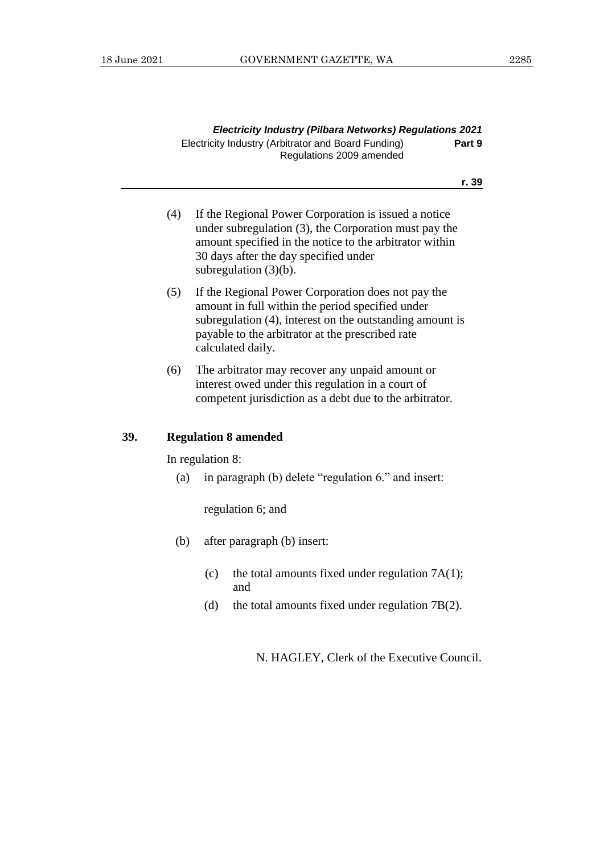| <b>Electricity Industry (Pilbara Networks) Regulations 2021</b> |        |
|-----------------------------------------------------------------|--------|
| Electricity Industry (Arbitrator and Board Funding)             | Part 9 |
| Regulations 2009 amended                                        |        |

#### **r. 39**

- (4) If the Regional Power Corporation is issued a notice under subregulation (3), the Corporation must pay the amount specified in the notice to the arbitrator within 30 days after the day specified under subregulation (3)(b).
- (5) If the Regional Power Corporation does not pay the amount in full within the period specified under subregulation (4), interest on the outstanding amount is payable to the arbitrator at the prescribed rate calculated daily.
- (6) The arbitrator may recover any unpaid amount or interest owed under this regulation in a court of competent jurisdiction as a debt due to the arbitrator.

#### **39. Regulation 8 amended**

In regulation 8:

(a) in paragraph (b) delete "regulation 6." and insert:

regulation 6; and

- (b) after paragraph (b) insert:
	- (c) the total amounts fixed under regulation  $7A(1)$ ; and
	- (d) the total amounts fixed under regulation 7B(2).

N. HAGLEY, Clerk of the Executive Council.